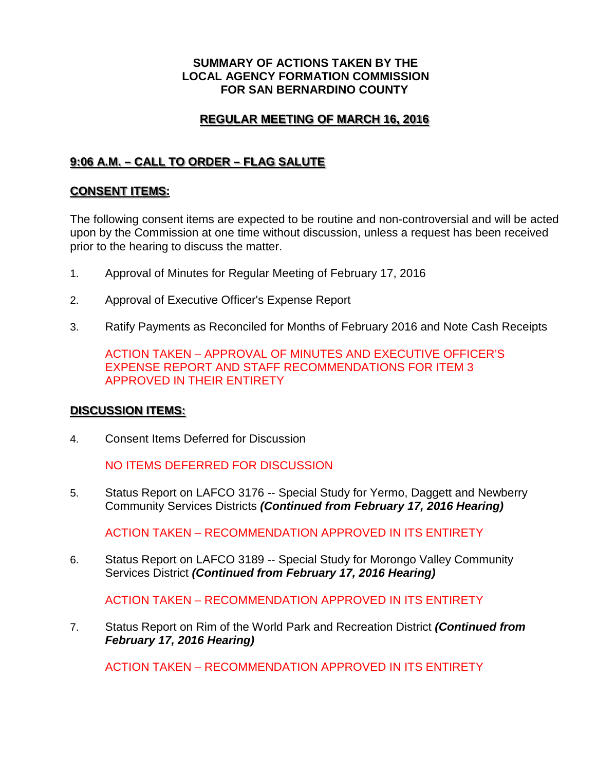#### **SUMMARY OF ACTIONS TAKEN BY THE LOCAL AGENCY FORMATION COMMISSION FOR SAN BERNARDINO COUNTY**

## **REGULAR MEETING OF MARCH 16, 2016**

# **9:06 A.M. – CALL TO ORDER – FLAG SALUTE**

### **CONSENT ITEMS:**

The following consent items are expected to be routine and non-controversial and will be acted upon by the Commission at one time without discussion, unless a request has been received prior to the hearing to discuss the matter.

- 1. Approval of Minutes for Regular Meeting of February 17, 2016
- 2. Approval of Executive Officer's Expense Report
- 3. Ratify Payments as Reconciled for Months of February 2016 and Note Cash Receipts

ACTION TAKEN – APPROVAL OF MINUTES AND EXECUTIVE OFFICER'S EXPENSE REPORT AND STAFF RECOMMENDATIONS FOR ITEM 3 APPROVED IN THEIR ENTIRETY

#### **DISCUSSION ITEMS:**

4. Consent Items Deferred for Discussion

NO ITEMS DEFERRED FOR DISCUSSION

5. Status Report on LAFCO 3176 -- Special Study for Yermo, Daggett and Newberry Community Services Districts *(Continued from February 17, 2016 Hearing)*

ACTION TAKEN – RECOMMENDATION APPROVED IN ITS ENTIRETY

6. Status Report on LAFCO 3189 -- Special Study for Morongo Valley Community Services District *(Continued from February 17, 2016 Hearing)*

ACTION TAKEN – RECOMMENDATION APPROVED IN ITS ENTIRETY

7. Status Report on Rim of the World Park and Recreation District *(Continued from February 17, 2016 Hearing)*

ACTION TAKEN – RECOMMENDATION APPROVED IN ITS ENTIRETY